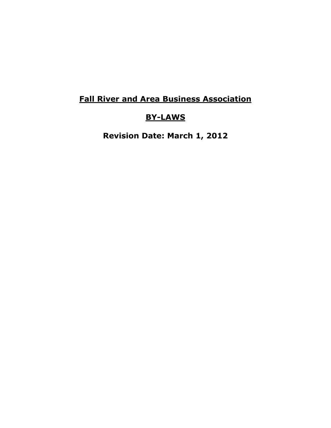# **Fall River and Area Business Association**

# **BY-LAWS**

**Revision Date: March 1, 2012**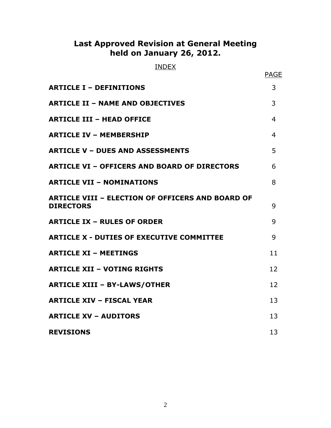# **Last Approved Revision at General Meeting held on January 26, 2012.**

# INDEX

|                                                                             | <b>PAGE</b> |
|-----------------------------------------------------------------------------|-------------|
| <b>ARTICLE I - DEFINITIONS</b>                                              | 3           |
| <b>ARTICLE II - NAME AND OBJECTIVES</b>                                     | 3           |
| <b>ARTICLE III - HEAD OFFICE</b>                                            | 4           |
| <b>ARTICLE IV - MEMBERSHIP</b>                                              | 4           |
| <b>ARTICLE V - DUES AND ASSESSMENTS</b>                                     | 5           |
| <b>ARTICLE VI - OFFICERS AND BOARD OF DIRECTORS</b>                         | 6           |
| <b>ARTICLE VII - NOMINATIONS</b>                                            | 8           |
| <b>ARTICLE VIII - ELECTION OF OFFICERS AND BOARD OF</b><br><b>DIRECTORS</b> | 9           |
| <b>ARTICLE IX - RULES OF ORDER</b>                                          | 9           |
| <b>ARTICLE X - DUTIES OF EXECUTIVE COMMITTEE</b>                            | 9           |
| <b>ARTICLE XI - MEETINGS</b>                                                | 11          |
| <b>ARTICLE XII - VOTING RIGHTS</b>                                          | 12          |
| <b>ARTICLE XIII - BY-LAWS/OTHER</b>                                         | 12          |
| <b>ARTICLE XIV - FISCAL YEAR</b>                                            | 13          |
| <b>ARTICLE XV - AUDITORS</b>                                                | 13          |
| <b>REVISIONS</b>                                                            | 13          |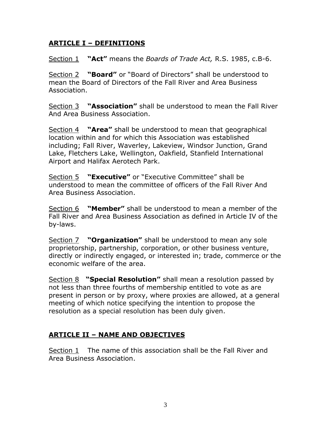#### **ARTICLE I – DEFINITIONS**

Section 1 **"Act"** means the *Boards of Trade Act,* R.S. 1985, c.B-6.

Section 2 **"Board"** or "Board of Directors" shall be understood to mean the Board of Directors of the Fall River and Area Business Association.

Section 3 **"Association"** shall be understood to mean the Fall River And Area Business Association.

Section 4 **"Area"** shall be understood to mean that geographical location within and for which this Association was established including; Fall River, Waverley, Lakeview, Windsor Junction, Grand Lake, Fletchers Lake, Wellington, Oakfield, Stanfield International Airport and Halifax Aerotech Park.

Section 5 **"Executive"** or "Executive Committee" shall be understood to mean the committee of officers of the Fall River And Area Business Association.

Section 6 **"Member"** shall be understood to mean a member of the Fall River and Area Business Association as defined in Article IV of the by-laws.

Section 7 **"Organization"** shall be understood to mean any sole proprietorship, partnership, corporation, or other business venture, directly or indirectly engaged, or interested in; trade, commerce or the economic welfare of the area.

Section 8 **"Special Resolution"** shall mean a resolution passed by not less than three fourths of membership entitled to vote as are present in person or by proxy, where proxies are allowed, at a general meeting of which notice specifying the intention to propose the resolution as a special resolution has been duly given.

# **ARTICLE II – NAME AND OBJECTIVES**

Section 1 The name of this association shall be the Fall River and Area Business Association.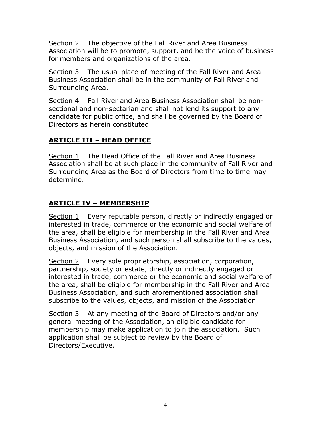Section 2 The objective of the Fall River and Area Business Association will be to promote, support, and be the voice of business for members and organizations of the area.

Section 3 The usual place of meeting of the Fall River and Area Business Association shall be in the community of Fall River and Surrounding Area.

Section 4 Fall River and Area Business Association shall be nonsectional and non-sectarian and shall not lend its support to any candidate for public office, and shall be governed by the Board of Directors as herein constituted.

# **ARTICLE III – HEAD OFFICE**

Section 1 The Head Office of the Fall River and Area Business Association shall be at such place in the community of Fall River and Surrounding Area as the Board of Directors from time to time may determine.

# **ARTICLE IV – MEMBERSHIP**

Section 1 Every reputable person, directly or indirectly engaged or interested in trade, commerce or the economic and social welfare of the area, shall be eligible for membership in the Fall River and Area Business Association, and such person shall subscribe to the values, objects, and mission of the Association.

Section 2 Every sole proprietorship, association, corporation, partnership, society or estate, directly or indirectly engaged or interested in trade, commerce or the economic and social welfare of the area, shall be eligible for membership in the Fall River and Area Business Association, and such aforementioned association shall subscribe to the values, objects, and mission of the Association.

Section 3 At any meeting of the Board of Directors and/or any general meeting of the Association, an eligible candidate for membership may make application to join the association. Such application shall be subject to review by the Board of Directors/Executive.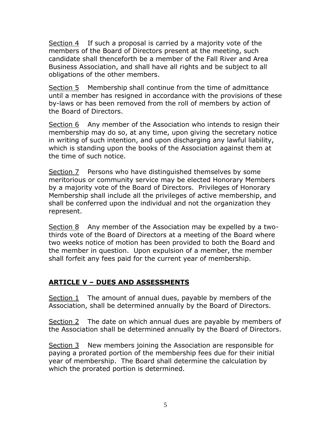Section 4 If such a proposal is carried by a majority vote of the members of the Board of Directors present at the meeting, such candidate shall thenceforth be a member of the Fall River and Area Business Association, and shall have all rights and be subject to all obligations of the other members.

Section 5 Membership shall continue from the time of admittance until a member has resigned in accordance with the provisions of these by-laws or has been removed from the roll of members by action of the Board of Directors.

Section 6 Any member of the Association who intends to resign their membership may do so, at any time, upon giving the secretary notice in writing of such intention, and upon discharging any lawful liability, which is standing upon the books of the Association against them at the time of such notice.

Section 7 Persons who have distinguished themselves by some meritorious or community service may be elected Honorary Members by a majority vote of the Board of Directors. Privileges of Honorary Membership shall include all the privileges of active membership, and shall be conferred upon the individual and not the organization they represent.

Section 8 Any member of the Association may be expelled by a twothirds vote of the Board of Directors at a meeting of the Board where two weeks notice of motion has been provided to both the Board and the member in question. Upon expulsion of a member, the member shall forfeit any fees paid for the current year of membership.

#### **ARTICLE V – DUES AND ASSESSMENTS**

Section 1 The amount of annual dues, payable by members of the Association, shall be determined annually by the Board of Directors.

Section 2 The date on which annual dues are payable by members of the Association shall be determined annually by the Board of Directors.

Section 3 New members joining the Association are responsible for paying a prorated portion of the membership fees due for their initial year of membership. The Board shall determine the calculation by which the prorated portion is determined.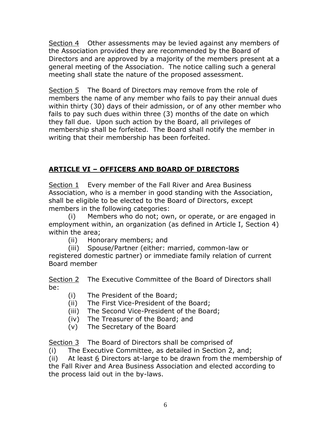Section 4 Other assessments may be levied against any members of the Association provided they are recommended by the Board of Directors and are approved by a majority of the members present at a general meeting of the Association. The notice calling such a general meeting shall state the nature of the proposed assessment.

Section 5 The Board of Directors may remove from the role of members the name of any member who fails to pay their annual dues within thirty (30) days of their admission, or of any other member who fails to pay such dues within three (3) months of the date on which they fall due. Upon such action by the Board, all privileges of membership shall be forfeited. The Board shall notify the member in writing that their membership has been forfeited.

# **ARTICLE VI – OFFICERS AND BOARD OF DIRECTORS**

Section 1 Every member of the Fall River and Area Business Association, who is a member in good standing with the Association, shall be eligible to be elected to the Board of Directors, except members in the following categories:

(i) Members who do not; own, or operate, or are engaged in employment within, an organization (as defined in Article I, Section 4) within the area;

(ii) Honorary members; and

(iii) Spouse/Partner (either: married, common-law or

registered domestic partner) or immediate family relation of current Board member

Section 2 The Executive Committee of the Board of Directors shall be:

- (i) The President of the Board;
- (ii) The First Vice-President of the Board;
- (iii) The Second Vice-President of the Board;
- (iv) The Treasurer of the Board; and
- (v) The Secretary of the Board

Section 3 The Board of Directors shall be comprised of

(i) The Executive Committee, as detailed in Section 2, and;

(ii) At least 6 Directors at-large to be drawn from the membership of the Fall River and Area Business Association and elected according to the process laid out in the by-laws.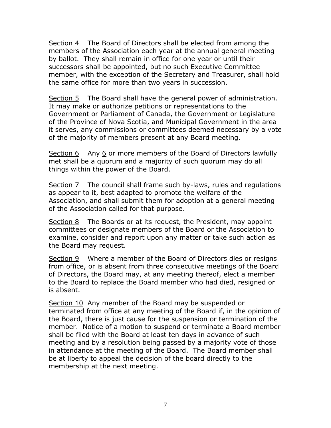Section 4 The Board of Directors shall be elected from among the members of the Association each year at the annual general meeting by ballot. They shall remain in office for one year or until their successors shall be appointed, but no such Executive Committee member, with the exception of the Secretary and Treasurer, shall hold the same office for more than two years in succession.

Section 5 The Board shall have the general power of administration. It may make or authorize petitions or representations to the Government or Parliament of Canada, the Government or Legislature of the Province of Nova Scotia, and Municipal Government in the area it serves, any commissions or committees deemed necessary by a vote of the majority of members present at any Board meeting.

Section  $6$  Any  $6$  or more members of the Board of Directors lawfully met shall be a quorum and a majority of such quorum may do all things within the power of the Board.

Section 7 The council shall frame such by-laws, rules and regulations as appear to it, best adapted to promote the welfare of the Association, and shall submit them for adoption at a general meeting of the Association called for that purpose.

Section 8 The Boards or at its request, the President, may appoint committees or designate members of the Board or the Association to examine, consider and report upon any matter or take such action as the Board may request.

Section 9 Where a member of the Board of Directors dies or resigns from office, or is absent from three consecutive meetings of the Board of Directors, the Board may, at any meeting thereof, elect a member to the Board to replace the Board member who had died, resigned or is absent.

Section 10 Any member of the Board may be suspended or terminated from office at any meeting of the Board if, in the opinion of the Board, there is just cause for the suspension or termination of the member. Notice of a motion to suspend or terminate a Board member shall be filed with the Board at least ten days in advance of such meeting and by a resolution being passed by a majority vote of those in attendance at the meeting of the Board. The Board member shall be at liberty to appeal the decision of the board directly to the membership at the next meeting.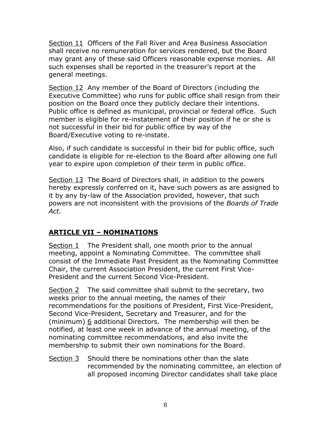Section 11 Officers of the Fall River and Area Business Association shall receive no remuneration for services rendered, but the Board may grant any of these said Officers reasonable expense monies. All such expenses shall be reported in the treasurer's report at the general meetings.

Section 12 Any member of the Board of Directors (including the Executive Committee) who runs for public office shall resign from their position on the Board once they publicly declare their intentions. Public office is defined as municipal, provincial or federal office. Such member is eligible for re-instatement of their position if he or she is not successful in their bid for public office by way of the Board/Executive voting to re-instate.

Also, if such candidate is successful in their bid for public office, such candidate is eligible for re-election to the Board after allowing one full year to expire upon completion of their term in public office.

Section 13 The Board of Directors shall, in addition to the powers hereby expressly conferred on it, have such powers as are assigned to it by any by-law of the Association provided, however, that such powers are not inconsistent with the provisions of the *Boards of Trade Act.*

# **ARTICLE VII – NOMINATIONS**

Section 1 The President shall, one month prior to the annual meeting, appoint a Nominating Committee. The committee shall consist of the Immediate Past President as the Nominating Committee Chair, the current Association President, the current First Vice-President and the current Second Vice-President.

Section 2 The said committee shall submit to the secretary, two weeks prior to the annual meeting, the names of their recommendations for the positions of President, First Vice-President, Second Vice-President, Secretary and Treasurer, and for the (minimum) 6 additional Directors. The membership will then be notified, at least one week in advance of the annual meeting, of the nominating committee recommendations, and also invite the membership to submit their own nominations for the Board.

Section 3 Should there be nominations other than the slate recommended by the nominating committee, an election of all proposed incoming Director candidates shall take place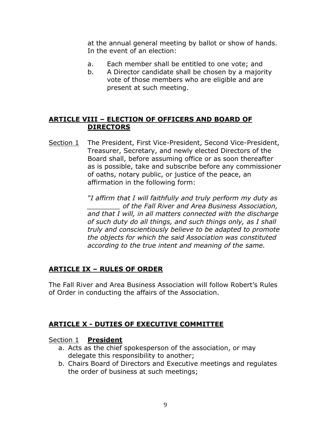at the annual general meeting by ballot or show of hands. In the event of an election:

- a. Each member shall be entitled to one vote; and
- b. A Director candidate shall be chosen by a majority vote of those members who are eligible and are present at such meeting.

#### **ARTICLE VIII – ELECTION OF OFFICERS AND BOARD OF DIRECTORS**

Section 1 The President, First Vice-President, Second Vice-President, Treasurer, Secretary, and newly elected Directors of the Board shall, before assuming office or as soon thereafter as is possible, take and subscribe before any commissioner of oaths, notary public, or justice of the peace, an affirmation in the following form:

> *"I affirm that I will faithfully and truly perform my duty as \_\_\_\_\_\_\_\_ of the Fall River and Area Business Association, and that I will, in all matters connected with the discharge of such duty do all things, and such things only, as I shall truly and conscientiously believe to be adapted to promote the objects for which the said Association was constituted according to the true intent and meaning of the same.*

#### **ARTICLE IX – RULES OF ORDER**

The Fall River and Area Business Association will follow Robert's Rules of Order in conducting the affairs of the Association.

# **ARTICLE X - DUTIES OF EXECUTIVE COMMITTEE**

#### Section 1 **President**

- a. Acts as the chief spokesperson of the association, or may delegate this responsibility to another;
- b. Chairs Board of Directors and Executive meetings and regulates the order of business at such meetings;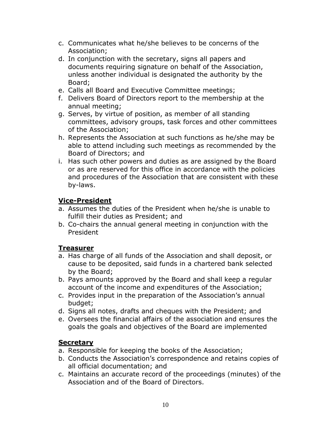- c. Communicates what he/she believes to be concerns of the Association;
- d. In conjunction with the secretary, signs all papers and documents requiring signature on behalf of the Association, unless another individual is designated the authority by the Board;
- e. Calls all Board and Executive Committee meetings;
- f. Delivers Board of Directors report to the membership at the annual meeting;
- g. Serves, by virtue of position, as member of all standing committees, advisory groups, task forces and other committees of the Association;
- h. Represents the Association at such functions as he/she may be able to attend including such meetings as recommended by the Board of Directors; and
- i. Has such other powers and duties as are assigned by the Board or as are reserved for this office in accordance with the policies and procedures of the Association that are consistent with these by-laws.

#### **Vice-President**

- a. Assumes the duties of the President when he/she is unable to fulfill their duties as President; and
- b. Co-chairs the annual general meeting in conjunction with the President

#### **Treasurer**

- a. Has charge of all funds of the Association and shall deposit, or cause to be deposited, said funds in a chartered bank selected by the Board;
- b. Pays amounts approved by the Board and shall keep a regular account of the income and expenditures of the Association;
- c. Provides input in the preparation of the Association's annual budget;
- d. Signs all notes, drafts and cheques with the President; and
- e. Oversees the financial affairs of the association and ensures the goals the goals and objectives of the Board are implemented

# **Secretary**

- a. Responsible for keeping the books of the Association;
- b. Conducts the Association's correspondence and retains copies of all official documentation; and
- c. Maintains an accurate record of the proceedings (minutes) of the Association and of the Board of Directors.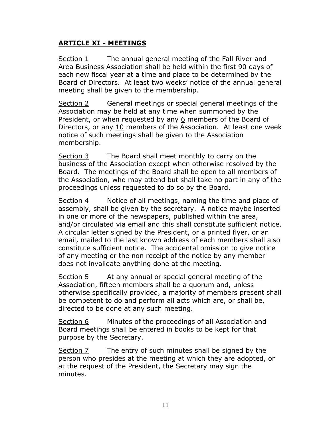#### **ARTICLE XI - MEETINGS**

Section 1 The annual general meeting of the Fall River and Area Business Association shall be held within the first 90 days of each new fiscal year at a time and place to be determined by the Board of Directors. At least two weeks' notice of the annual general meeting shall be given to the membership.

Section 2 General meetings or special general meetings of the Association may be held at any time when summoned by the President, or when requested by any 6 members of the Board of Directors, or any 10 members of the Association. At least one week notice of such meetings shall be given to the Association membership.

Section 3 The Board shall meet monthly to carry on the business of the Association except when otherwise resolved by the Board. The meetings of the Board shall be open to all members of the Association, who may attend but shall take no part in any of the proceedings unless requested to do so by the Board.

Section 4 Notice of all meetings, naming the time and place of assembly, shall be given by the secretary. A notice maybe inserted in one or more of the newspapers, published within the area, and/or circulated via email and this shall constitute sufficient notice. A circular letter signed by the President, or a printed flyer, or an email, mailed to the last known address of each members shall also constitute sufficient notice. The accidental omission to give notice of any meeting or the non receipt of the notice by any member does not invalidate anything done at the meeting.

Section 5 At any annual or special general meeting of the Association, fifteen members shall be a quorum and, unless otherwise specifically provided, a majority of members present shall be competent to do and perform all acts which are, or shall be, directed to be done at any such meeting.

Section 6 Minutes of the proceedings of all Association and Board meetings shall be entered in books to be kept for that purpose by the Secretary.

Section 7 The entry of such minutes shall be signed by the person who presides at the meeting at which they are adopted, or at the request of the President, the Secretary may sign the minutes.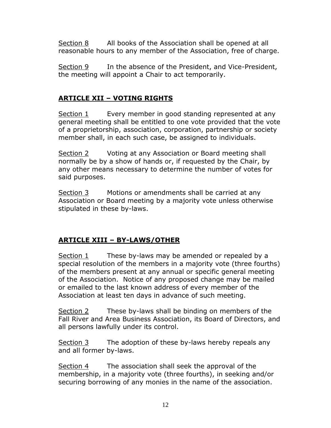Section 8 All books of the Association shall be opened at all reasonable hours to any member of the Association, free of charge.

Section 9 In the absence of the President, and Vice-President, the meeting will appoint a Chair to act temporarily.

#### **ARTICLE XII – VOTING RIGHTS**

Section 1 Every member in good standing represented at any general meeting shall be entitled to one vote provided that the vote of a proprietorship, association, corporation, partnership or society member shall, in each such case, be assigned to individuals.

Section 2 Voting at any Association or Board meeting shall normally be by a show of hands or, if requested by the Chair, by any other means necessary to determine the number of votes for said purposes.

Section 3 Motions or amendments shall be carried at any Association or Board meeting by a majority vote unless otherwise stipulated in these by-laws.

# **ARTICLE XIII – BY-LAWS/OTHER**

Section 1 These by-laws may be amended or repealed by a special resolution of the members in a majority vote (three fourths) of the members present at any annual or specific general meeting of the Association. Notice of any proposed change may be mailed or emailed to the last known address of every member of the Association at least ten days in advance of such meeting.

Section 2 These by-laws shall be binding on members of the Fall River and Area Business Association, its Board of Directors, and all persons lawfully under its control.

Section 3 The adoption of these by-laws hereby repeals any and all former by-laws.

Section 4 The association shall seek the approval of the membership, in a majority vote (three fourths), in seeking and/or securing borrowing of any monies in the name of the association.